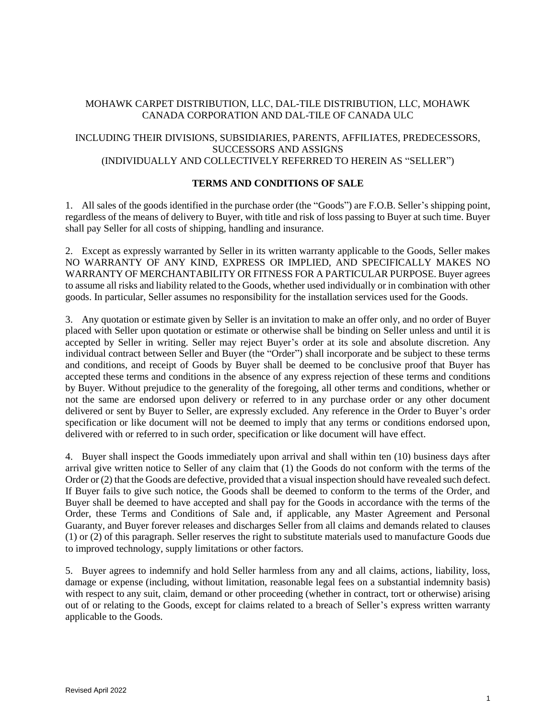## MOHAWK CARPET DISTRIBUTION, LLC, DAL-TILE DISTRIBUTION, LLC, MOHAWK CANADA CORPORATION AND DAL-TILE OF CANADA ULC

# INCLUDING THEIR DIVISIONS, SUBSIDIARIES, PARENTS, AFFILIATES, PREDECESSORS, SUCCESSORS AND ASSIGNS (INDIVIDUALLY AND COLLECTIVELY REFERRED TO HEREIN AS "SELLER")

#### **TERMS AND CONDITIONS OF SALE**

1. All sales of the goods identified in the purchase order (the "Goods") are F.O.B. Seller's shipping point, regardless of the means of delivery to Buyer, with title and risk of loss passing to Buyer at such time. Buyer shall pay Seller for all costs of shipping, handling and insurance.

2. Except as expressly warranted by Seller in its written warranty applicable to the Goods, Seller makes NO WARRANTY OF ANY KIND, EXPRESS OR IMPLIED, AND SPECIFICALLY MAKES NO WARRANTY OF MERCHANTABILITY OR FITNESS FOR A PARTICULAR PURPOSE. Buyer agrees to assume all risks and liability related to the Goods, whether used individually or in combination with other goods. In particular, Seller assumes no responsibility for the installation services used for the Goods.

3. Any quotation or estimate given by Seller is an invitation to make an offer only, and no order of Buyer placed with Seller upon quotation or estimate or otherwise shall be binding on Seller unless and until it is accepted by Seller in writing. Seller may reject Buyer's order at its sole and absolute discretion. Any individual contract between Seller and Buyer (the "Order") shall incorporate and be subject to these terms and conditions, and receipt of Goods by Buyer shall be deemed to be conclusive proof that Buyer has accepted these terms and conditions in the absence of any express rejection of these terms and conditions by Buyer. Without prejudice to the generality of the foregoing, all other terms and conditions, whether or not the same are endorsed upon delivery or referred to in any purchase order or any other document delivered or sent by Buyer to Seller, are expressly excluded. Any reference in the Order to Buyer's order specification or like document will not be deemed to imply that any terms or conditions endorsed upon, delivered with or referred to in such order, specification or like document will have effect.

4. Buyer shall inspect the Goods immediately upon arrival and shall within ten (10) business days after arrival give written notice to Seller of any claim that (1) the Goods do not conform with the terms of the Order or (2) that the Goods are defective, provided that a visual inspection should have revealed such defect. If Buyer fails to give such notice, the Goods shall be deemed to conform to the terms of the Order, and Buyer shall be deemed to have accepted and shall pay for the Goods in accordance with the terms of the Order, these Terms and Conditions of Sale and, if applicable, any Master Agreement and Personal Guaranty, and Buyer forever releases and discharges Seller from all claims and demands related to clauses (1) or (2) of this paragraph. Seller reserves the right to substitute materials used to manufacture Goods due to improved technology, supply limitations or other factors.

5. Buyer agrees to indemnify and hold Seller harmless from any and all claims, actions, liability, loss, damage or expense (including, without limitation, reasonable legal fees on a substantial indemnity basis) with respect to any suit, claim, demand or other proceeding (whether in contract, tort or otherwise) arising out of or relating to the Goods, except for claims related to a breach of Seller's express written warranty applicable to the Goods.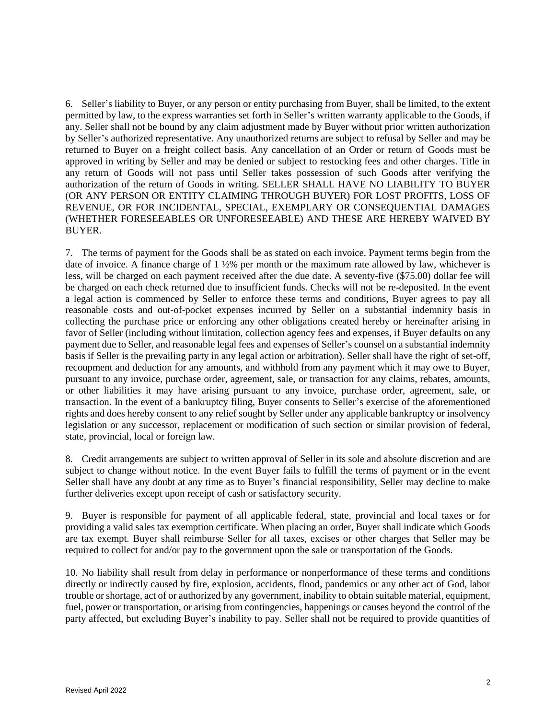6. Seller's liability to Buyer, or any person or entity purchasing from Buyer, shall be limited, to the extent permitted by law, to the express warranties set forth in Seller's written warranty applicable to the Goods, if any. Seller shall not be bound by any claim adjustment made by Buyer without prior written authorization by Seller's authorized representative. Any unauthorized returns are subject to refusal by Seller and may be returned to Buyer on a freight collect basis. Any cancellation of an Order or return of Goods must be approved in writing by Seller and may be denied or subject to restocking fees and other charges. Title in any return of Goods will not pass until Seller takes possession of such Goods after verifying the authorization of the return of Goods in writing. SELLER SHALL HAVE NO LIABILITY TO BUYER (OR ANY PERSON OR ENTITY CLAIMING THROUGH BUYER) FOR LOST PROFITS, LOSS OF REVENUE, OR FOR INCIDENTAL, SPECIAL, EXEMPLARY OR CONSEQUENTIAL DAMAGES (WHETHER FORESEEABLES OR UNFORESEEABLE) AND THESE ARE HEREBY WAIVED BY BUYER.

7. The terms of payment for the Goods shall be as stated on each invoice. Payment terms begin from the date of invoice. A finance charge of 1 ½% per month or the maximum rate allowed by law, whichever is less, will be charged on each payment received after the due date. A seventy-five (\$75.00) dollar fee will be charged on each check returned due to insufficient funds. Checks will not be re-deposited. In the event a legal action is commenced by Seller to enforce these terms and conditions, Buyer agrees to pay all reasonable costs and out-of-pocket expenses incurred by Seller on a substantial indemnity basis in collecting the purchase price or enforcing any other obligations created hereby or hereinafter arising in favor of Seller (including without limitation, collection agency fees and expenses, if Buyer defaults on any payment due to Seller, and reasonable legal fees and expenses of Seller's counsel on a substantial indemnity basis if Seller is the prevailing party in any legal action or arbitration). Seller shall have the right of set-off, recoupment and deduction for any amounts, and withhold from any payment which it may owe to Buyer, pursuant to any invoice, purchase order, agreement, sale, or transaction for any claims, rebates, amounts, or other liabilities it may have arising pursuant to any invoice, purchase order, agreement, sale, or transaction. In the event of a bankruptcy filing, Buyer consents to Seller's exercise of the aforementioned rights and does hereby consent to any relief sought by Seller under any applicable bankruptcy or insolvency legislation or any successor, replacement or modification of such section or similar provision of federal, state, provincial, local or foreign law.

8. Credit arrangements are subject to written approval of Seller in its sole and absolute discretion and are subject to change without notice. In the event Buyer fails to fulfill the terms of payment or in the event Seller shall have any doubt at any time as to Buyer's financial responsibility, Seller may decline to make further deliveries except upon receipt of cash or satisfactory security.

9. Buyer is responsible for payment of all applicable federal, state, provincial and local taxes or for providing a valid sales tax exemption certificate. When placing an order, Buyer shall indicate which Goods are tax exempt. Buyer shall reimburse Seller for all taxes, excises or other charges that Seller may be required to collect for and/or pay to the government upon the sale or transportation of the Goods.

10. No liability shall result from delay in performance or nonperformance of these terms and conditions directly or indirectly caused by fire, explosion, accidents, flood, pandemics or any other act of God, labor trouble or shortage, act of or authorized by any government, inability to obtain suitable material, equipment, fuel, power or transportation, or arising from contingencies, happenings or causes beyond the control of the party affected, but excluding Buyer's inability to pay. Seller shall not be required to provide quantities of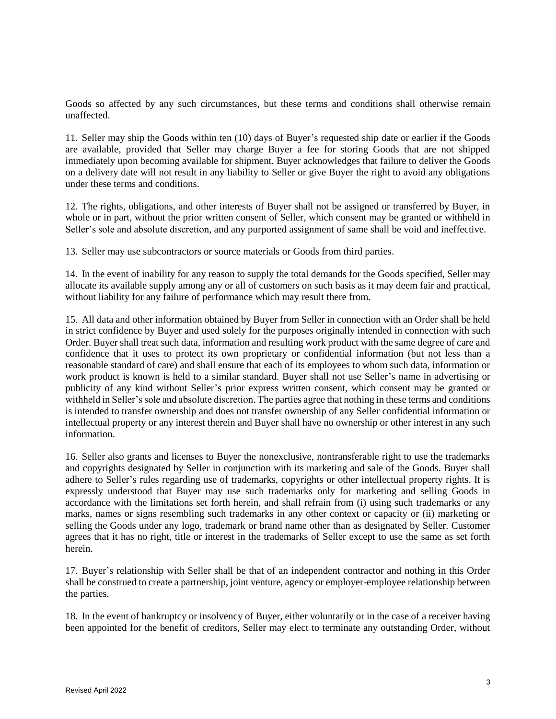Goods so affected by any such circumstances, but these terms and conditions shall otherwise remain unaffected.

11. Seller may ship the Goods within ten (10) days of Buyer's requested ship date or earlier if the Goods are available, provided that Seller may charge Buyer a fee for storing Goods that are not shipped immediately upon becoming available for shipment. Buyer acknowledges that failure to deliver the Goods on a delivery date will not result in any liability to Seller or give Buyer the right to avoid any obligations under these terms and conditions.

12. The rights, obligations, and other interests of Buyer shall not be assigned or transferred by Buyer, in whole or in part, without the prior written consent of Seller, which consent may be granted or withheld in Seller's sole and absolute discretion, and any purported assignment of same shall be void and ineffective.

13. Seller may use subcontractors or source materials or Goods from third parties.

14. In the event of inability for any reason to supply the total demands for the Goods specified, Seller may allocate its available supply among any or all of customers on such basis as it may deem fair and practical, without liability for any failure of performance which may result there from.

15. All data and other information obtained by Buyer from Seller in connection with an Order shall be held in strict confidence by Buyer and used solely for the purposes originally intended in connection with such Order. Buyer shall treat such data, information and resulting work product with the same degree of care and confidence that it uses to protect its own proprietary or confidential information (but not less than a reasonable standard of care) and shall ensure that each of its employees to whom such data, information or work product is known is held to a similar standard. Buyer shall not use Seller's name in advertising or publicity of any kind without Seller's prior express written consent, which consent may be granted or withheld in Seller's sole and absolute discretion. The parties agree that nothing in these terms and conditions is intended to transfer ownership and does not transfer ownership of any Seller confidential information or intellectual property or any interest therein and Buyer shall have no ownership or other interest in any such information.

16. Seller also grants and licenses to Buyer the nonexclusive, nontransferable right to use the trademarks and copyrights designated by Seller in conjunction with its marketing and sale of the Goods. Buyer shall adhere to Seller's rules regarding use of trademarks, copyrights or other intellectual property rights. It is expressly understood that Buyer may use such trademarks only for marketing and selling Goods in accordance with the limitations set forth herein, and shall refrain from (i) using such trademarks or any marks, names or signs resembling such trademarks in any other context or capacity or (ii) marketing or selling the Goods under any logo, trademark or brand name other than as designated by Seller. Customer agrees that it has no right, title or interest in the trademarks of Seller except to use the same as set forth herein.

17. Buyer's relationship with Seller shall be that of an independent contractor and nothing in this Order shall be construed to create a partnership, joint venture, agency or employer-employee relationship between the parties.

18. In the event of bankruptcy or insolvency of Buyer, either voluntarily or in the case of a receiver having been appointed for the benefit of creditors, Seller may elect to terminate any outstanding Order, without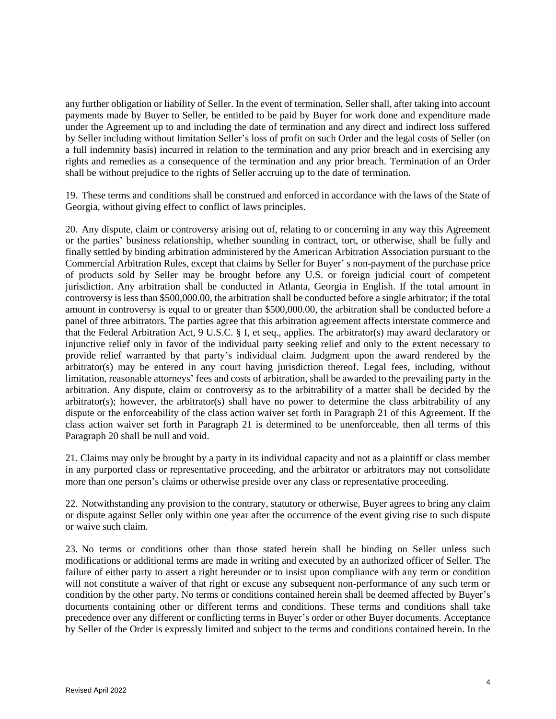any further obligation or liability of Seller. In the event of termination, Seller shall, after taking into account payments made by Buyer to Seller, be entitled to be paid by Buyer for work done and expenditure made under the Agreement up to and including the date of termination and any direct and indirect loss suffered by Seller including without limitation Seller's loss of profit on such Order and the legal costs of Seller (on a full indemnity basis) incurred in relation to the termination and any prior breach and in exercising any rights and remedies as a consequence of the termination and any prior breach. Termination of an Order shall be without prejudice to the rights of Seller accruing up to the date of termination.

19. These terms and conditions shall be construed and enforced in accordance with the laws of the State of Georgia, without giving effect to conflict of laws principles.

20. Any dispute, claim or controversy arising out of, relating to or concerning in any way this Agreement or the parties' business relationship, whether sounding in contract, tort, or otherwise, shall be fully and finally settled by binding arbitration administered by the American Arbitration Association pursuant to the Commercial Arbitration Rules, except that claims by Seller for Buyer' s non-payment of the purchase price of products sold by Seller may be brought before any U.S. or foreign judicial court of competent jurisdiction. Any arbitration shall be conducted in Atlanta, Georgia in English. If the total amount in controversy is less than \$500,000.00, the arbitration shall be conducted before a single arbitrator; if the total amount in controversy is equal to or greater than \$500,000.00, the arbitration shall be conducted before a panel of three arbitrators. The parties agree that this arbitration agreement affects interstate commerce and that the Federal Arbitration Act, 9 U.S.C. § I, et seq., applies. The arbitrator(s) may award declaratory or injunctive relief only in favor of the individual party seeking relief and only to the extent necessary to provide relief warranted by that party's individual claim. Judgment upon the award rendered by the arbitrator(s) may be entered in any court having jurisdiction thereof. Legal fees, including, without limitation, reasonable attorneys' fees and costs of arbitration, shall be awarded to the prevailing party in the arbitration. Any dispute, claim or controversy as to the arbitrability of a matter shall be decided by the arbitrator(s); however, the arbitrator(s) shall have no power to determine the class arbitrability of any dispute or the enforceability of the class action waiver set forth in Paragraph 21 of this Agreement. If the class action waiver set forth in Paragraph 21 is determined to be unenforceable, then all terms of this Paragraph 20 shall be null and void.

21. Claims may only be brought by a party in its individual capacity and not as a plaintiff or class member in any purported class or representative proceeding, and the arbitrator or arbitrators may not consolidate more than one person's claims or otherwise preside over any class or representative proceeding.

22. Notwithstanding any provision to the contrary, statutory or otherwise, Buyer agrees to bring any claim or dispute against Seller only within one year after the occurrence of the event giving rise to such dispute or waive such claim.

23. No terms or conditions other than those stated herein shall be binding on Seller unless such modifications or additional terms are made in writing and executed by an authorized officer of Seller. The failure of either party to assert a right hereunder or to insist upon compliance with any term or condition will not constitute a waiver of that right or excuse any subsequent non-performance of any such term or condition by the other party. No terms or conditions contained herein shall be deemed affected by Buyer's documents containing other or different terms and conditions. These terms and conditions shall take precedence over any different or conflicting terms in Buyer's order or other Buyer documents. Acceptance by Seller of the Order is expressly limited and subject to the terms and conditions contained herein. In the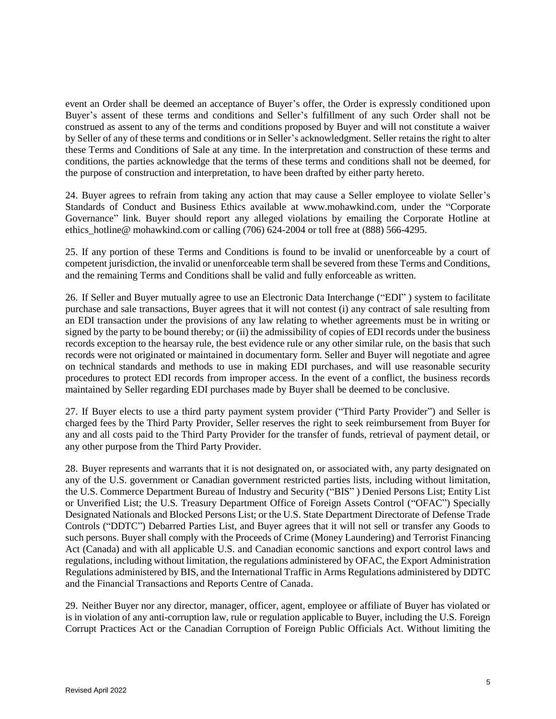event an Order shall be deemed an acceptance of Buyer's offer, the Order is expressly conditioned upon Buyer's assent of these terms and conditions and Seller's fulfillment of any such Order shall not be construed as assent to any of the terms and conditions proposed by Buyer and will not constitute a waiver by Seller of any of these terms and conditions or in Seller's acknowledgment. Seller retains the right to alter these Terms and Conditions of Sale at any time. In the interpretation and construction of these terms and conditions, the parties acknowledge that the terms of these terms and conditions shall not be deemed, for the purpose of construction and interpretation, to have been drafted by either party hereto.

24. Buyer agrees to refrain from taking any action that may cause a Seller employee to violate Seller's Standards of Conduct and Business Ethics available at www.mohawkind.com, under the "Corporate Governance" link. Buyer should report any alleged violations by emailing the Corporate Hotline at ethics\_hotline@ mohawkind.com or calling (706) 624-2004 or toll free at (888) 566-4295.

25. If any portion of these Terms and Conditions is found to be invalid or unenforceable by a court of competent jurisdiction, the invalid or unenforceable term shall be severed from these Terms and Conditions, and the remaining Terms and Conditions shall be valid and fully enforceable as written.

26. If Seller and Buyer mutually agree to use an Electronic Data Interchange ("EDI" ) system to facilitate purchase and sale transactions, Buyer agrees that it will not contest (i) any contract of sale resulting from an EDI transaction under the provisions of any law relating to whether agreements must be in writing or signed by the party to be bound thereby; or (ii) the admissibility of copies of EDI records under the business records exception to the hearsay rule, the best evidence rule or any other similar rule, on the basis that such records were not originated or maintained in documentary form. Seller and Buyer will negotiate and agree on technical standards and methods to use in making EDI purchases, and will use reasonable security procedures to protect EDI records from improper access. In the event of a conflict, the business records maintained by Seller regarding EDI purchases made by Buyer shall be deemed to be conclusive.

27. If Buyer elects to use a third party payment system provider ("Third Party Provider") and Seller is charged fees by the Third Party Provider, Seller reserves the right to seek reimbursement from Buyer for any and all costs paid to the Third Party Provider for the transfer of funds, retrieval of payment detail, or any other purpose from the Third Party Provider.

28. Buyer represents and warrants that it is not designated on, or associated with, any party designated on any of the U.S. government or Canadian government restricted parties lists, including without limitation, the U.S. Commerce Department Bureau of Industry and Security ("BIS" ) Denied Persons List; Entity List or Unverified List; the U.S. Treasury Department Office of Foreign Assets Control ("OFAC") Specially Designated Nationals and Blocked Persons List; or the U.S. State Department Directorate of Defense Trade Controls ("DDTC") Debarred Parties List, and Buyer agrees that it will not sell or transfer any Goods to such persons. Buyer shall comply with the Proceeds of Crime (Money Laundering) and Terrorist Financing Act (Canada) and with all applicable U.S. and Canadian economic sanctions and export control laws and regulations, including without limitation, the regulations administered by OFAC, the Export Administration Regulations administered by BIS, and the International Traffic in Arms Regulations administered by DDTC and the Financial Transactions and Reports Centre of Canada.

29. Neither Buyer nor any director, manager, officer, agent, employee or affiliate of Buyer has violated or is in violation of any anti-corruption law, rule or regulation applicable to Buyer, including the U.S. Foreign Corrupt Practices Act or the Canadian Corruption of Foreign Public Officials Act. Without limiting the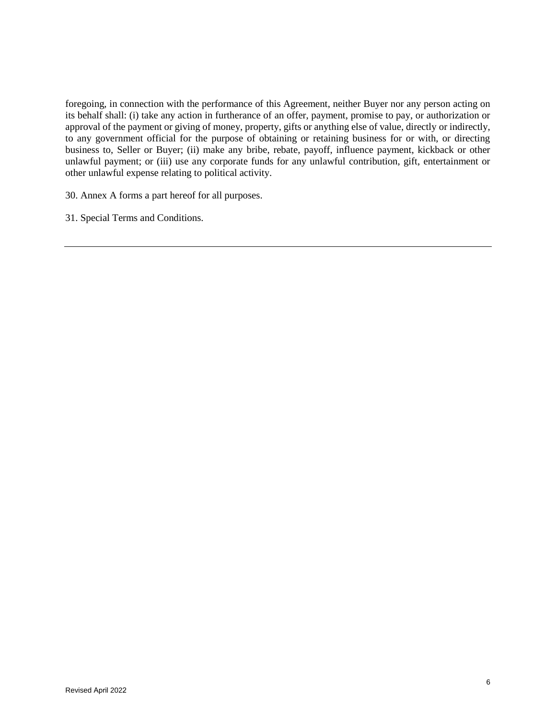foregoing, in connection with the performance of this Agreement, neither Buyer nor any person acting on its behalf shall: (i) take any action in furtherance of an offer, payment, promise to pay, or authorization or approval of the payment or giving of money, property, gifts or anything else of value, directly or indirectly, to any government official for the purpose of obtaining or retaining business for or with, or directing business to, Seller or Buyer; (ii) make any bribe, rebate, payoff, influence payment, kickback or other unlawful payment; or (iii) use any corporate funds for any unlawful contribution, gift, entertainment or other unlawful expense relating to political activity.

30. Annex A forms a part hereof for all purposes.

31. Special Terms and Conditions.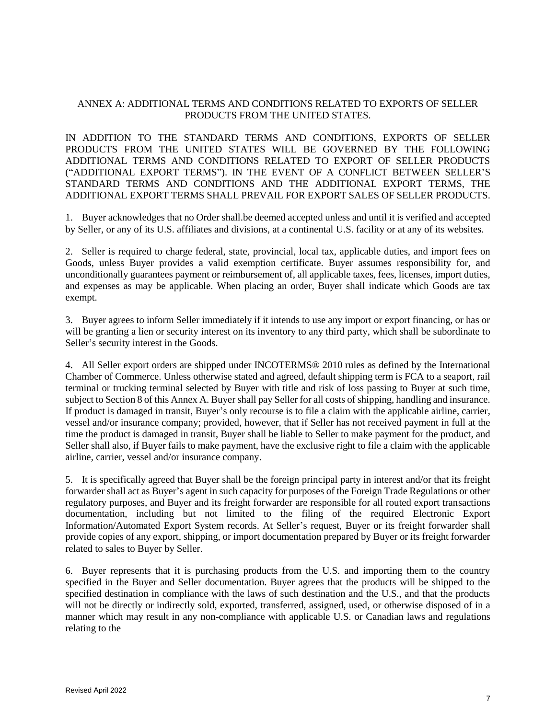## ANNEX A: ADDITIONAL TERMS AND CONDITIONS RELATED TO EXPORTS OF SELLER PRODUCTS FROM THE UNITED STATES.

IN ADDITION TO THE STANDARD TERMS AND CONDITIONS, EXPORTS OF SELLER PRODUCTS FROM THE UNITED STATES WILL BE GOVERNED BY THE FOLLOWING ADDITIONAL TERMS AND CONDITIONS RELATED TO EXPORT OF SELLER PRODUCTS ("ADDITIONAL EXPORT TERMS"). IN THE EVENT OF A CONFLICT BETWEEN SELLER'S STANDARD TERMS AND CONDITIONS AND THE ADDITIONAL EXPORT TERMS, THE ADDITIONAL EXPORT TERMS SHALL PREVAIL FOR EXPORT SALES OF SELLER PRODUCTS.

1. Buyer acknowledges that no Order shall.be deemed accepted unless and until it is verified and accepted by Seller, or any of its U.S. affiliates and divisions, at a continental U.S. facility or at any of its websites.

2. Seller is required to charge federal, state, provincial, local tax, applicable duties, and import fees on Goods, unless Buyer provides a valid exemption certificate. Buyer assumes responsibility for, and unconditionally guarantees payment or reimbursement of, all applicable taxes, fees, licenses, import duties, and expenses as may be applicable. When placing an order, Buyer shall indicate which Goods are tax exempt.

3. Buyer agrees to inform Seller immediately if it intends to use any import or export financing, or has or will be granting a lien or security interest on its inventory to any third party, which shall be subordinate to Seller's security interest in the Goods.

4. All Seller export orders are shipped under INCOTERMS® 2010 rules as defined by the International Chamber of Commerce. Unless otherwise stated and agreed, default shipping term is FCA to a seaport, rail terminal or trucking terminal selected by Buyer with title and risk of loss passing to Buyer at such time, subject to Section 8 of this Annex A. Buyer shall pay Seller for all costs of shipping, handling and insurance. If product is damaged in transit, Buyer's only recourse is to file a claim with the applicable airline, carrier, vessel and/or insurance company; provided, however, that if Seller has not received payment in full at the time the product is damaged in transit, Buyer shall be liable to Seller to make payment for the product, and Seller shall also, if Buyer fails to make payment, have the exclusive right to file a claim with the applicable airline, carrier, vessel and/or insurance company.

5. It is specifically agreed that Buyer shall be the foreign principal party in interest and/or that its freight forwarder shall act as Buyer's agent in such capacity for purposes of the Foreign Trade Regulations or other regulatory purposes, and Buyer and its freight forwarder are responsible for all routed export transactions documentation, including but not limited to the filing of the required Electronic Export Information/Automated Export System records. At Seller's request, Buyer or its freight forwarder shall provide copies of any export, shipping, or import documentation prepared by Buyer or its freight forwarder related to sales to Buyer by Seller.

6. Buyer represents that it is purchasing products from the U.S. and importing them to the country specified in the Buyer and Seller documentation. Buyer agrees that the products will be shipped to the specified destination in compliance with the laws of such destination and the U.S., and that the products will not be directly or indirectly sold, exported, transferred, assigned, used, or otherwise disposed of in a manner which may result in any non-compliance with applicable U.S. or Canadian laws and regulations relating to the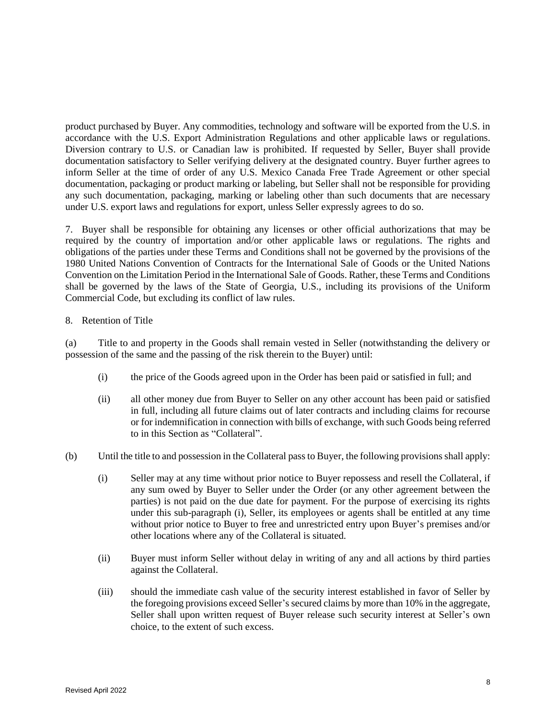product purchased by Buyer. Any commodities, technology and software will be exported from the U.S. in accordance with the U.S. Export Administration Regulations and other applicable laws or regulations. Diversion contrary to U.S. or Canadian law is prohibited. If requested by Seller, Buyer shall provide documentation satisfactory to Seller verifying delivery at the designated country. Buyer further agrees to inform Seller at the time of order of any U.S. Mexico Canada Free Trade Agreement or other special documentation, packaging or product marking or labeling, but Seller shall not be responsible for providing any such documentation, packaging, marking or labeling other than such documents that are necessary under U.S. export laws and regulations for export, unless Seller expressly agrees to do so.

7. Buyer shall be responsible for obtaining any licenses or other official authorizations that may be required by the country of importation and/or other applicable laws or regulations. The rights and obligations of the parties under these Terms and Conditions shall not be governed by the provisions of the 1980 United Nations Convention of Contracts for the International Sale of Goods or the United Nations Convention on the Limitation Period in the International Sale of Goods. Rather, these Terms and Conditions shall be governed by the laws of the State of Georgia, U.S., including its provisions of the Uniform Commercial Code, but excluding its conflict of law rules.

### 8. Retention of Title

(a) Title to and property in the Goods shall remain vested in Seller (notwithstanding the delivery or possession of the same and the passing of the risk therein to the Buyer) until:

- (i) the price of the Goods agreed upon in the Order has been paid or satisfied in full; and
- (ii) all other money due from Buyer to Seller on any other account has been paid or satisfied in full, including all future claims out of later contracts and including claims for recourse or for indemnification in connection with bills of exchange, with such Goods being referred to in this Section as "Collateral".
- (b) Until the title to and possession in the Collateral pass to Buyer, the following provisions shall apply:
	- (i) Seller may at any time without prior notice to Buyer repossess and resell the Collateral, if any sum owed by Buyer to Seller under the Order (or any other agreement between the parties) is not paid on the due date for payment. For the purpose of exercising its rights under this sub-paragraph (i), Seller, its employees or agents shall be entitled at any time without prior notice to Buyer to free and unrestricted entry upon Buyer's premises and/or other locations where any of the Collateral is situated.
	- (ii) Buyer must inform Seller without delay in writing of any and all actions by third parties against the Collateral.
	- (iii) should the immediate cash value of the security interest established in favor of Seller by the foregoing provisions exceed Seller's secured claims by more than 10% in the aggregate, Seller shall upon written request of Buyer release such security interest at Seller's own choice, to the extent of such excess.